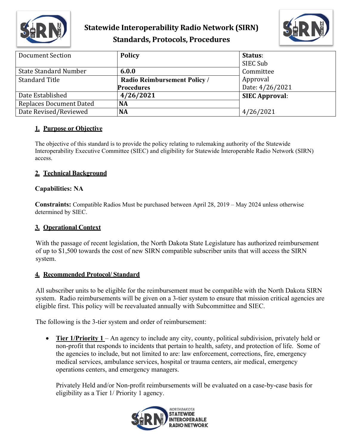

# **Statewide Interoperability Radio Network (SIRN) Standards, Protocols, Procedures**



| <b>Document Section</b>        | <b>Policy</b>                       | Status:               |
|--------------------------------|-------------------------------------|-----------------------|
|                                |                                     | SIEC Sub              |
| <b>State Standard Number</b>   | 6.0.0                               | Committee             |
| <b>Standard Title</b>          | <b>Radio Reimbursement Policy /</b> | Approval              |
|                                | <b>Procedures</b>                   | Date: 4/26/2021       |
| Date Established               | 4/26/2021                           | <b>SIEC Approval:</b> |
| <b>Replaces Document Dated</b> | <b>NA</b>                           |                       |
| Date Revised/Reviewed          | <b>NA</b>                           | 4/26/2021             |

#### **1. Purpose or Objective**

The objective of this standard is to provide the policy relating to rulemaking authority of the Statewide Interoperability Executive Committee (SIEC) and eligibility for Statewide Interoperable Radio Network (SIRN) access.

#### **2. Technical Background**

#### **Capabilities: NA**

**Constraints:** Compatible Radios Must be purchased between April 28, 2019 – May 2024 unless otherwise determined by SIEC.

### **3. Operational Context**

With the passage of recent legislation, the North Dakota State Legislature has authorized reimbursement of up to \$1,500 towards the cost of new SIRN compatible subscriber units that will access the SIRN system.

### **4. Recommended Protocol/ Standard**

All subscriber units to be eligible for the reimbursement must be compatible with the North Dakota SIRN system. Radio reimbursements will be given on a 3-tier system to ensure that mission critical agencies are eligible first. This policy will be reevaluated annually with Subcommittee and SIEC.

The following is the 3-tier system and order of reimbursement:

• **Tier 1/Priority 1** – An agency to include any city, county, political subdivision, privately held or non-profit that responds to incidents that pertain to health, safety, and protection of life. Some of the agencies to include, but not limited to are: law enforcement, corrections, fire, emergency medical services, ambulance services, hospital or trauma centers, air medical, emergency operations centers, and emergency managers.

Privately Held and/or Non-profit reimbursements will be evaluated on a case-by-case basis for eligibility as a Tier 1/ Priority 1 agency.

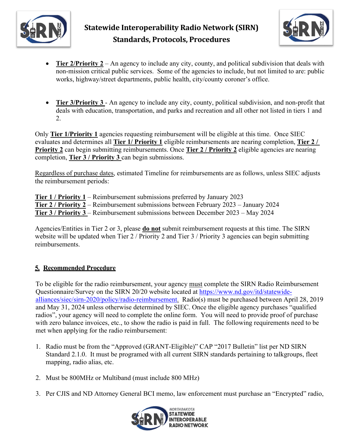



- **Tier 2/Priority 2** An agency to include any city, county, and political subdivision that deals with non-mission critical public services. Some of the agencies to include, but not limited to are: public works, highway/street departments, public health, city/county coroner's office.
- **Tier 3/Priority 3** An agency to include any city, county, political subdivision, and non-profit that deals with education, transportation, and parks and recreation and all other not listed in tiers 1 and 2.

Only **Tier 1/Priority 1** agencies requesting reimbursement will be eligible at this time. Once SIEC evaluates and determines all **Tier 1/ Priority 1** eligible reimbursements are nearing completion, **Tier 2 / Priority 2** can begin submitting reimbursements. Once **Tier 2 / Priority 2** eligible agencies are nearing completion, **Tier 3 / Priority 3** can begin submissions.

Regardless of purchase dates, estimated Timeline for reimbursements are as follows, unless SIEC adjusts the reimbursement periods:

**Tier 1 / Priority 1** – Reimbursement submissions preferred by January 2023 **Tier 2 / Priority 2** – Reimbursement submissions between February 2023 – January 2024 **Tier 3 / Priority 3** – Reimbursement submissions between December 2023 – May 2024

Agencies/Entities in Tier 2 or 3, please **do not** submit reimbursement requests at this time. The SIRN website will be updated when Tier 2 / Priority 2 and Tier 3 / Priority 3 agencies can begin submitting reimbursements.

### **5. Recommended Procedure**

To be eligible for the radio reimbursement, your agency must complete the SIRN Radio Reimbursement Questionnaire/Survey on the SIRN 20/20 website located at [https://www.nd.gov/itd/statewide](https://www.nd.gov/itd/statewide-alliances/siec/sirn-2020/policy/radio-reimbursement)[alliances/siec/sirn-2020/policy/radio-reimbursement.](https://www.nd.gov/itd/statewide-alliances/siec/sirn-2020/policy/radio-reimbursement) Radio(s) must be purchased between April 28, 2019 and May 31, 2024 unless otherwise determined by SIEC. Once the eligible agency purchases "qualified radios", your agency will need to complete the online form. You will need to provide proof of purchase with zero balance invoices, etc., to show the radio is paid in full. The following requirements need to be met when applying for the radio reimbursement:

- 1. Radio must be from the "Approved (GRANT-Eligible)" CAP "2017 Bulletin" list per ND SIRN Standard 2.1.0. It must be programed with all current SIRN standards pertaining to talkgroups, fleet mapping, radio alias, etc.
- 2. Must be 800MHz or Multiband (must include 800 MHz)
- 3. Per CJIS and ND Attorney General BCI memo, law enforcement must purchase an "Encrypted" radio,